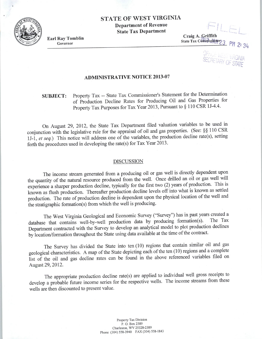## STATE OF WEST VIRGINIA Department of Revenue State Tax Department

Earl Ray Tomblin Governor

Craig A. Griffith State Tax Commissioner

--

 $-11 F$ 

-- I

OFFICE WEST VIRGINIA<br>SECRETARY OF STATE

#### ADMINISTRATIVE NOTICE 2013-07

### SUBJECT: Property Tax -- State Tax Commissioner's Statement for the Determination of Production Decline Rates for Producing Oil and Gas Properties for Property Tax Purposes for Tax Year 2013, Pursuant to § 110 CSR 1J-4.4.

On August 29, 2012, the State Tax Department filed valuation variables to be used in conjunction with the legislative rule for the appraisal of oil and gas properties. (See: §§ 110 CSR lJ-1 , *et seq.)* This notice will address one of the variables, the production decline rate(s), setting forth the procedures used in developing the rate(s) for Tax Year 2013.

#### DISCUSSION

The income stream generated from a producing oil or gas well is directly dependent upon the quantity of the natural resource produced from the well. Once drilled an oil or gas well will experience a sharper production decline, typically for the first two (2) years of production. This is known as flush production. Thereafter production decline levels off into what is known as settled production. The rate of production decline is dependent upon the physical location of the well and the stratigraphic formation(s) from which the well is producing.

The West Virginia Geological and Economic Survey ("Survey") has in past years created a database that contains well-by-well production data by producing formation(s). Department contracted with the Survey to develop an analytical model to plot production declines by location/formation throughout the State using data available at the time of the contract.

The Survey has divided the State into ten (10) regions that contain similar oil and gas geological characteristics. A map of the State depicting each of the ten (10) regions and a complete list of the oil and gas decline rates can be found in the above referenced variables filed on August 29, 2012.

The appropriate production decline rate(s) are applied to individual well gross receipts to develop a probable future income series for the respective wells. The income streams from these wells are then discounted to present value.